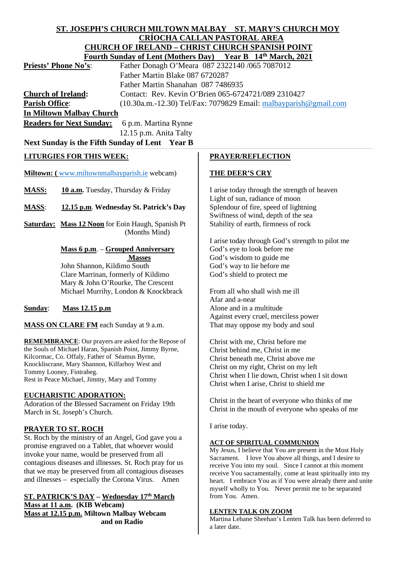| ST. JOSEPH'S CHURCH MILTOWN MALBAY     ST. MARY'S CHURCH MOY                              |                                                                                                                    |
|-------------------------------------------------------------------------------------------|--------------------------------------------------------------------------------------------------------------------|
| <b>CRÍOCHA CALLAN PASTORAL AREA</b>                                                       |                                                                                                                    |
| <b>CHURCH OF IRELAND - CHRIST CHURCH SPANISH POINT</b>                                    |                                                                                                                    |
| Fourth Sunday of Lent (Mothers Day) Year B 14th March, 2021                               |                                                                                                                    |
| Father Donagh O'Meara 087 2322140 /065 7087012<br><b>Priests' Phone No's:</b>             |                                                                                                                    |
| Father Martin Blake 087 6720287                                                           |                                                                                                                    |
| Father Martin Shanahan 087 7486935                                                        |                                                                                                                    |
| Contact: Rev. Kevin O'Brien 065-6724721/089 2310427<br><b>Church of Ireland:</b>          |                                                                                                                    |
| <b>Parish Office:</b><br>(10.30a.m.-12.30) Tel/Fax: 7079829 Email: malbayparish@gmail.com |                                                                                                                    |
| <b>In Miltown Malbay Church</b>                                                           |                                                                                                                    |
| 6 p.m. Martina Rynne<br><b>Readers for Next Sunday:</b>                                   |                                                                                                                    |
| 12.15 p.m. Anita Talty                                                                    |                                                                                                                    |
| Next Sunday is the Fifth Sunday of Lent Year B                                            |                                                                                                                    |
|                                                                                           |                                                                                                                    |
| <b>LITURGIES FOR THIS WEEK:</b>                                                           | <b>PRAYER/REFLECTION</b>                                                                                           |
|                                                                                           |                                                                                                                    |
| <b>Miltown:</b> (www.miltownmalbayparish.ie webcam)                                       | THE DEER'S CRY                                                                                                     |
|                                                                                           |                                                                                                                    |
| 10 a.m. Tuesday, Thursday & Friday<br><b>MASS:</b>                                        | I arise today through the strength of heaven                                                                       |
|                                                                                           | Light of sun, radiance of moon                                                                                     |
| 12.15 p.m. Wednesday St. Patrick's Day<br><b>MASS:</b>                                    | Splendour of fire, speed of lightning                                                                              |
|                                                                                           | Swiftness of wind, depth of the sea                                                                                |
| <b>Saturday: Mass 12 Noon</b> for Eoin Haugh, Spanish Pt<br>(Months Mind)                 | Stability of earth, firmness of rock                                                                               |
|                                                                                           | I arise today through God's strength to pilot me                                                                   |
| Mass 6 p.m. - Grouped Anniversary                                                         | God's eye to look before me                                                                                        |
| <b>Masses</b>                                                                             | God's wisdom to guide me                                                                                           |
| John Shannon, Kildimo South                                                               | God's way to lie before me                                                                                         |
| Clare Marrinan, formerly of Kildimo                                                       | God's shield to protect me                                                                                         |
| Mary & John O'Rourke, The Crescent                                                        |                                                                                                                    |
| Michael Murrihy, London & Knockbrack                                                      | From all who shall wish me ill                                                                                     |
|                                                                                           | Afar and a-near                                                                                                    |
| Mass 12.15 p.m<br>Sunday:                                                                 | Alone and in a multitude                                                                                           |
|                                                                                           | Against every cruel, merciless power                                                                               |
| <b>MASS ON CLARE FM</b> each Sunday at 9 a.m.                                             | That may oppose my body and soul                                                                                   |
|                                                                                           |                                                                                                                    |
| <b>REMEMBRANCE:</b> Our prayers are asked for the Repose of                               | Christ with me, Christ before me                                                                                   |
| the Souls of Michael Haran, Spanish Point, Jimmy Byrne,                                   | Christ behind me, Christ in me                                                                                     |
| Kilcormac, Co. Offaly, Father of Séamus Byrne,                                            | Christ beneath me, Christ above me                                                                                 |
| Knockliscrane, Mary Shannon, Kilfarboy West and                                           | Christ on my right, Christ on my left                                                                              |
| Tommy Looney, Fintrabeg.                                                                  | Christ when I lie down, Christ when I sit down                                                                     |
| Rest in Peace Michael, Jimmy, Mary and Tommy                                              | Christ when I arise, Christ to shield me                                                                           |
| <b>EUCHARISTIC ADORATION:</b>                                                             |                                                                                                                    |
| Adoration of the Blessed Sacrament on Friday 19th                                         | Christ in the heart of everyone who thinks of me                                                                   |
| March in St. Joseph's Church.                                                             | Christ in the mouth of everyone who speaks of me                                                                   |
|                                                                                           |                                                                                                                    |
| PRAYER TO ST. ROCH                                                                        | I arise today.                                                                                                     |
| St. Roch by the ministry of an Angel, God gave you a                                      |                                                                                                                    |
| promise engraved on a Tablet, that whoever would                                          | <b>ACT OF SPIRITUAL COMMUNION</b>                                                                                  |
| invoke your name, would be preserved from all                                             | My Jesus, I believe that You are present in the Most Holy                                                          |
| contagious diseases and illnesses. St. Roch pray for us                                   | Sacrament. I love You above all things, and I desire to<br>receive You into my soul. Since I cannot at this moment |
| that we may be preserved from all contagious diseases                                     | receive You sacramentally, come at least spiritually into my                                                       |
| and illnesses – especially the Corona Virus.<br>Amen                                      | heart. I embrace You as if You were already there and unite                                                        |
|                                                                                           | myself wholly to You. Never permit me to be separated                                                              |
| <b>ST. PATRICK'S DAY - Wednesday 17th March</b>                                           | from You. Amen.                                                                                                    |
| Mass at 11 a.m. (KIB Webcam)                                                              |                                                                                                                    |
| Mass at 12.15 p.m. Miltown Malbay Webcam                                                  | <b>LENTEN TALK ON ZOOM</b>                                                                                         |
| and on Radio                                                                              | Martina Lehane Sheehan's Lenten Talk has been deferred to                                                          |

 $\overline{\phantom{a}}$ 

Martina Lehane Sheehan's Lenten Talk has been deferred to a later date.